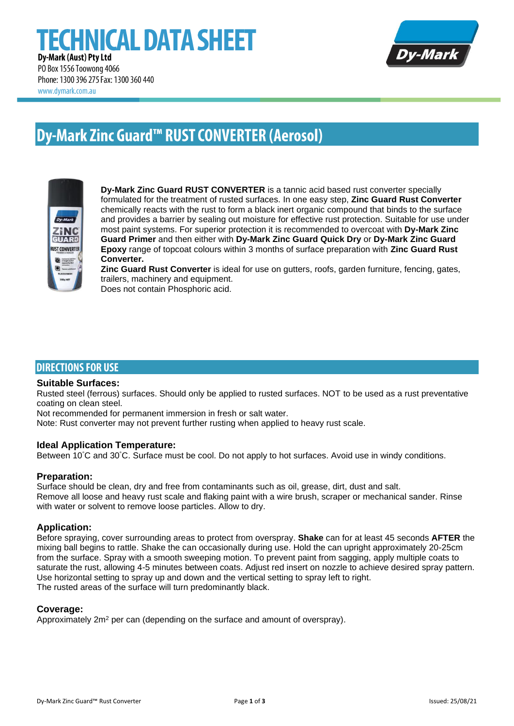# **ECHNICAL DATA SHEET** Dy-Mark (Aust) Pty Ltd PO Box 1556 Toowong 4066



Phone: 1300 396 275 Fax: 1300 360 440 www.dymark.com.au

# **Dy-Mark Zinc Guard™ RUST CONVERTER (Aerosol)**



**Dy-Mark Zinc Guard RUST CONVERTER** is a tannic acid based rust converter specially formulated for the treatment of rusted surfaces. In one easy step, **Zinc Guard Rust Converter** chemically reacts with the rust to form a black inert organic compound that binds to the surface and provides a barrier by sealing out moisture for effective rust protection. Suitable for use under most paint systems. For superior protection it is recommended to overcoat with **Dy-Mark Zinc Guard Primer** and then either with **Dy-Mark Zinc Guard Quick Dry** or **Dy-Mark Zinc Guard Epoxy** range of topcoat colours within 3 months of surface preparation with **Zinc Guard Rust Converter.**

**Zinc Guard Rust Converter** is ideal for use on gutters, roofs, garden furniture, fencing, gates, trailers, machinery and equipment.

Does not contain Phosphoric acid.

# **DIRECTIONS FOR USE**

### **Suitable Surfaces:**

Rusted steel (ferrous) surfaces. Should only be applied to rusted surfaces. NOT to be used as a rust preventative coating on clean steel.

Not recommended for permanent immersion in fresh or salt water.

Note: Rust converter may not prevent further rusting when applied to heavy rust scale.

### **Ideal Application Temperature:**

Between 10°C and 30°C. Surface must be cool. Do not apply to hot surfaces. Avoid use in windy conditions.

### **Preparation:**

Surface should be clean, dry and free from contaminants such as oil, grease, dirt, dust and salt. Remove all loose and heavy rust scale and flaking paint with a wire brush, scraper or mechanical sander. Rinse with water or solvent to remove loose particles. Allow to dry.

# **Application:**

Before spraying, cover surrounding areas to protect from overspray. **Shake** can for at least 45 seconds **AFTER** the mixing ball begins to rattle. Shake the can occasionally during use. Hold the can upright approximately 20-25cm from the surface. Spray with a smooth sweeping motion. To prevent paint from sagging, apply multiple coats to saturate the rust, allowing 4-5 minutes between coats. Adjust red insert on nozzle to achieve desired spray pattern. Use horizontal setting to spray up and down and the vertical setting to spray left to right. The rusted areas of the surface will turn predominantly black.

### **Coverage:**

Approximately 2m<sup>2</sup> per can (depending on the surface and amount of overspray).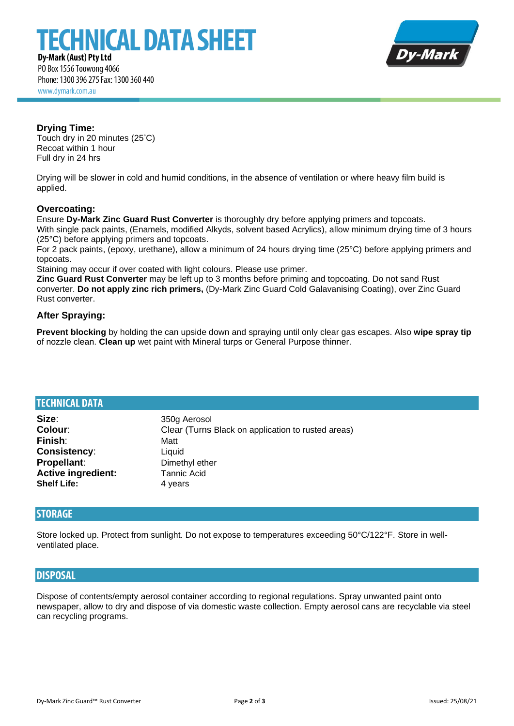# **ECHNICAL DATA SHEET**



Dy-Mark (Aust) Pty Ltd PO Box 1556 Toowong 4066 Phone: 1300 396 275 Fax: 1300 360 440 www.dymark.com.au

# **Drying Time:**

Touch dry in 20 minutes (25°C) Recoat within 1 hour Full dry in 24 hrs

Drying will be slower in cold and humid conditions, in the absence of ventilation or where heavy film build is applied.

## **Overcoating:**

Ensure **Dy-Mark Zinc Guard Rust Converter** is thoroughly dry before applying primers and topcoats.

With single pack paints, (Enamels, modified Alkyds, solvent based Acrylics), allow minimum drying time of 3 hours (25°C) before applying primers and topcoats.

For 2 pack paints, (epoxy, urethane), allow a minimum of 24 hours drying time (25°C) before applying primers and topcoats.

Staining may occur if over coated with light colours. Please use primer.

**Zinc Guard Rust Converter** may be left up to 3 months before priming and topcoating. Do not sand Rust converter. **Do not apply zinc rich primers,** (Dy-Mark Zinc Guard Cold Galavanising Coating), over Zinc Guard Rust converter.

# **After Spraying:**

**Prevent blocking** by holding the can upside down and spraying until only clear gas escapes. Also **wipe spray tip** of nozzle clean. **Clean up** wet paint with Mineral turps or General Purpose thinner.

| <b>TECHNICAL DATA</b>     |                                                    |
|---------------------------|----------------------------------------------------|
| Size:                     | 350g Aerosol                                       |
| Colour:                   | Clear (Turns Black on application to rusted areas) |
| Finish:                   | Matt                                               |
| Consistency:              | Liquid                                             |
| Propellant:               | Dimethyl ether                                     |
| <b>Active ingredient:</b> | <b>Tannic Acid</b>                                 |
| <b>Shelf Life:</b>        | 4 years                                            |

# **STORAGE**

Store locked up. Protect from sunlight. Do not expose to temperatures exceeding 50°C/122°F. Store in wellventilated place.

# **DISPOSAL**

Dispose of contents/empty aerosol container according to regional regulations. Spray unwanted paint onto newspaper, allow to dry and dispose of via domestic waste collection. Empty aerosol cans are recyclable via steel can recycling programs.